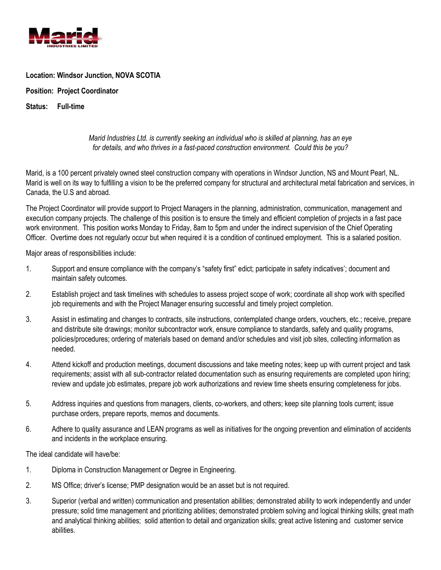

## **Location: Windsor Junction, NOVA SCOTIA**

**Position: Project Coordinator**

**Status: Full-time**

## *Marid Industries Ltd. is currently seeking an individual who is skilled at planning, has an eye for details, and who thrives in a fast-paced construction environment. Could this be you?*

Marid, is a 100 percent privately owned steel construction company with operations in Windsor Junction, NS and Mount Pearl, NL. Marid is well on its way to fulfilling a vision to be the preferred company for structural and architectural metal fabrication and services, in Canada, the U.S and abroad.

The Project Coordinator will provide support to Project Managers in the planning, administration, communication, management and execution company projects. The challenge of this position is to ensure the timely and efficient completion of projects in a fast pace work environment. This position works Monday to Friday, 8am to 5pm and under the indirect supervision of the Chief Operating Officer. Overtime does not regularly occur but when required it is a condition of continued employment. This is a salaried position.

Major areas of responsibilities include:

- 1. Support and ensure compliance with the company's "safety first" edict; participate in safety indicatives'; document and maintain safety outcomes.
- 2. Establish project and task timelines with schedules to assess project scope of work; coordinate all shop work with specified job requirements and with the Project Manager ensuring successful and timely project completion.
- 3. Assist in estimating and changes to contracts, site instructions, contemplated change orders, vouchers, etc.; receive, prepare and distribute site drawings; monitor subcontractor work, ensure compliance to standards, safety and quality programs, policies/procedures; ordering of materials based on demand and/or schedules and visit job sites, collecting information as needed.
- 4. Attend kickoff and production meetings, document discussions and take meeting notes; keep up with current project and task requirements; assist with all sub-contractor related documentation such as ensuring requirements are completed upon hiring; review and update job estimates, prepare job work authorizations and review time sheets ensuring completeness for jobs.
- 5. Address inquiries and questions from managers, clients, co-workers, and others; keep site planning tools current; issue purchase orders, prepare reports, memos and documents.
- 6. Adhere to quality assurance and LEAN programs as well as initiatives for the ongoing prevention and elimination of accidents and incidents in the workplace ensuring.

The ideal candidate will have/be:

- 1. Diploma in Construction Management or Degree in Engineering.
- 2. MS Office; driver's license; PMP designation would be an asset but is not required.
- 3. Superior (verbal and written) communication and presentation abilities; demonstrated ability to work independently and under pressure; solid time management and prioritizing abilities; demonstrated problem solving and logical thinking skills; great math and analytical thinking abilities; solid attention to detail and organization skills; great active listening and customer service abilities.